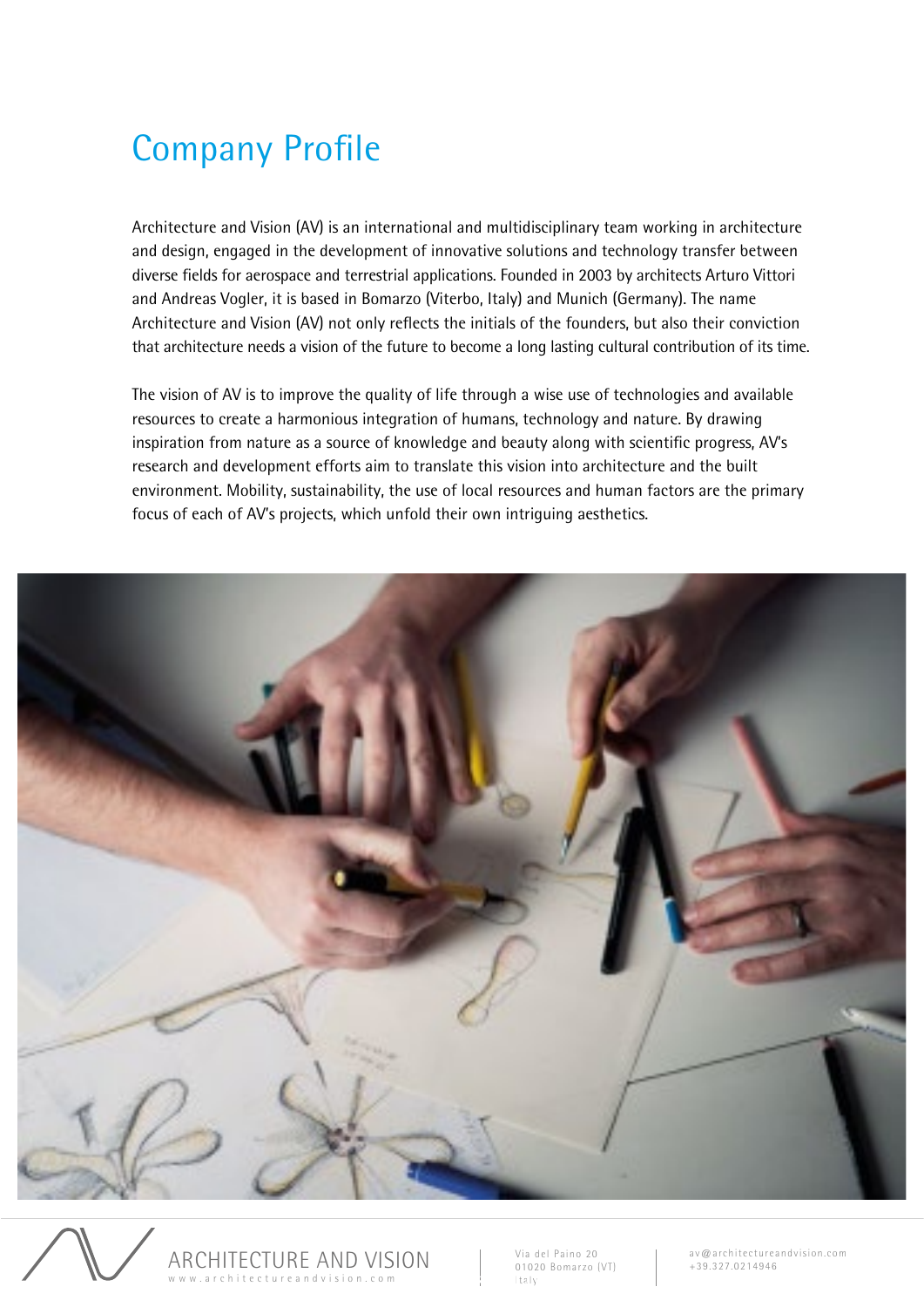## Company Profile

Architecture and Vision (AV) is an international and multidisciplinary team working in architecture and design, engaged in the development of innovative solutions and technology transfer between diverse fields for aerospace and terrestrial applications. Founded in 2003 by architects Arturo Vittori and Andreas Vogler, it is based in Bomarzo (Viterbo, Italy) and Munich (Germany). The name Architecture and Vision (AV) not only reflects the initials of the founders, but also their conviction that architecture needs a vision of the future to become a long lasting cultural contribution of its time.

The vision of AV is to improve the quality of life through a wise use of technologies and available resources to create a harmonious integration of humans, technology and nature. By drawing inspiration from nature as a source of knowledge and beauty along with scientific progress, AV's research and development efforts aim to translate this vision into architecture and the built environment. Mobility, sustainability, the use of local resources and human factors are the primary focus of each of AV's projects, which unfold their own intriguing aesthetics.





Via del Paino 20 01020 Bomarzo (VT) | Company Profile<br>| Company Profile Profile Profile Profile Profile Profile Profile Profile Profile Profile Profile Profile Profile Profile Profile Profile Profile Profile Profile Profile Profile Profile Profile Profile Pr

av@architectureandvision.com +39.327.0214946